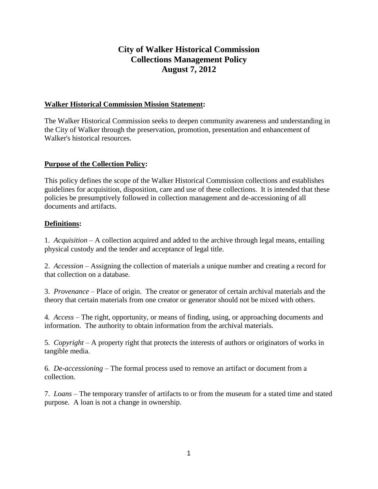# **City of Walker Historical Commission Collections Management Policy August 7, 2012**

### **Walker Historical Commission Mission Statement:**

The Walker Historical Commission seeks to deepen community awareness and understanding in the City of Walker through the preservation, promotion, presentation and enhancement of Walker's historical resources.

### **Purpose of the Collection Policy:**

This policy defines the scope of the Walker Historical Commission collections and establishes guidelines for acquisition, disposition, care and use of these collections. It is intended that these policies be presumptively followed in collection management and de-accessioning of all documents and artifacts.

### **Definitions:**

1. *Acquisition* – A collection acquired and added to the archive through legal means, entailing physical custody and the tender and acceptance of legal title.

2. *Accession* – Assigning the collection of materials a unique number and creating a record for that collection on a database.

3. *Provenance* – Place of origin. The creator or generator of certain archival materials and the theory that certain materials from one creator or generator should not be mixed with others.

4*. Access* – The right, opportunity, or means of finding, using, or approaching documents and information. The authority to obtain information from the archival materials.

5. *Copyright* – A property right that protects the interests of authors or originators of works in tangible media.

6. *De-accessioning* – The formal process used to remove an artifact or document from a collection.

7. *Loans* – The temporary transfer of artifacts to or from the museum for a stated time and stated purpose. A loan is not a change in ownership.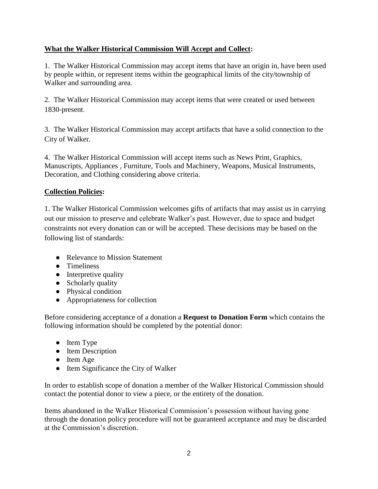### **What the Walker Historical Commission Will Accept and Collect:**

1. The Walker Historical Commission may accept items that have an origin in, have been used by people within, or represent items within the geographical limits of the city/township of Walker and surrounding area.

2. The Walker Historical Commission may accept items that were created or used between 1830-present.

3. The Walker Historical Commission may accept artifacts that have a solid connection to the City of Walker.

4. The Walker Historical Commission will accept items such as News Print, Graphics, Manuscripts, Appliances , Furniture, Tools and Machinery, Weapons, Musical Instruments, Decoration, and Clothing considering above criteria.

### **Collection Policies:**

1. The Walker Historical Commission welcomes gifts of artifacts that may assist us in carrying out our mission to preserve and celebrate Walker's past. However, due to space and budget constraints not every donation can or will be accepted. These decisions may be based on the following list of standards:

- **●** Relevance to Mission Statement
- **●** Timeliness
- **●** Interpretive quality
- **●** Scholarly quality
- **●** Physical condition
- **●** Appropriateness for collection

Before considering acceptance of a donation a **Request to Donation Form** which contains the following information should be completed by the potential donor:

- **●** Item Type
- **●** Item Description
- **●** Item Age
- **●** Item Significance the City of Walker

In order to establish scope of donation a member of the Walker Historical Commission should contact the potential donor to view a piece, or the entirety of the donation.

Items abandoned in the Walker Historical Commission's possession without having gone through the donation policy procedure will not be guaranteed acceptance and may be discarded at the Commission's discretion.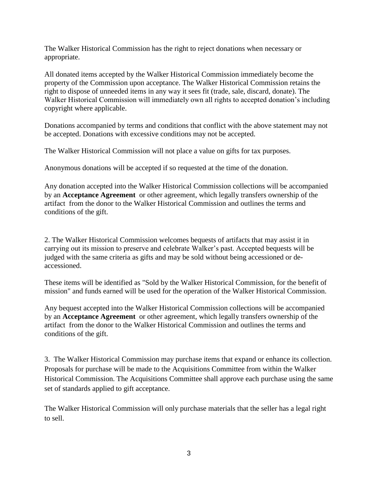The Walker Historical Commission has the right to reject donations when necessary or appropriate.

All donated items accepted by the Walker Historical Commission immediately become the property of the Commission upon acceptance. The Walker Historical Commission retains the right to dispose of unneeded items in any way it sees fit (trade, sale, discard, donate). The Walker Historical Commission will immediately own all rights to accepted donation's including copyright where applicable.

Donations accompanied by terms and conditions that conflict with the above statement may not be accepted. Donations with excessive conditions may not be accepted.

The Walker Historical Commission will not place a value on gifts for tax purposes.

Anonymous donations will be accepted if so requested at the time of the donation.

Any donation accepted into the Walker Historical Commission collections will be accompanied by an **Acceptance Agreement** or other agreement, which legally transfers ownership of the artifact from the donor to the Walker Historical Commission and outlines the terms and conditions of the gift.

2. The Walker Historical Commission welcomes bequests of artifacts that may assist it in carrying out its mission to preserve and celebrate Walker's past. Accepted bequests will be judged with the same criteria as gifts and may be sold without being accessioned or deaccessioned.

These items will be identified as "Sold by the Walker Historical Commission, for the benefit of mission" and funds earned will be used for the operation of the Walker Historical Commission.

Any bequest accepted into the Walker Historical Commission collections will be accompanied by an **Acceptance Agreement** or other agreement, which legally transfers ownership of the artifact from the donor to the Walker Historical Commission and outlines the terms and conditions of the gift.

3. The Walker Historical Commission may purchase items that expand or enhance its collection. Proposals for purchase will be made to the Acquisitions Committee from within the Walker Historical Commission. The Acquisitions Committee shall approve each purchase using the same set of standards applied to gift acceptance.

The Walker Historical Commission will only purchase materials that the seller has a legal right to sell.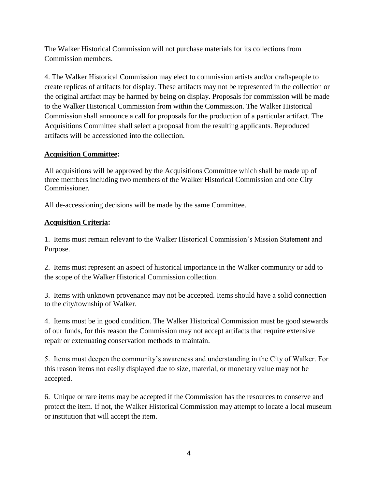The Walker Historical Commission will not purchase materials for its collections from Commission members.

4. The Walker Historical Commission may elect to commission artists and/or craftspeople to create replicas of artifacts for display. These artifacts may not be represented in the collection or the original artifact may be harmed by being on display. Proposals for commission will be made to the Walker Historical Commission from within the Commission. The Walker Historical Commission shall announce a call for proposals for the production of a particular artifact. The Acquisitions Committee shall select a proposal from the resulting applicants. Reproduced artifacts will be accessioned into the collection.

# **Acquisition Committee:**

All acquisitions will be approved by the Acquisitions Committee which shall be made up of three members including two members of the Walker Historical Commission and one City Commissioner.

All de-accessioning decisions will be made by the same Committee.

# **Acquisition Criteria:**

1. Items must remain relevant to the Walker Historical Commission's Mission Statement and Purpose.

2. Items must represent an aspect of historical importance in the Walker community or add to the scope of the Walker Historical Commission collection.

3. Items with unknown provenance may not be accepted. Items should have a solid connection to the city/township of Walker.

4. Items must be in good condition. The Walker Historical Commission must be good stewards of our funds, for this reason the Commission may not accept artifacts that require extensive repair or extenuating conservation methods to maintain.

5. Items must deepen the community's awareness and understanding in the City of Walker. For this reason items not easily displayed due to size, material, or monetary value may not be accepted.

6. Unique or rare items may be accepted if the Commission has the resources to conserve and protect the item. If not, the Walker Historical Commission may attempt to locate a local museum or institution that will accept the item.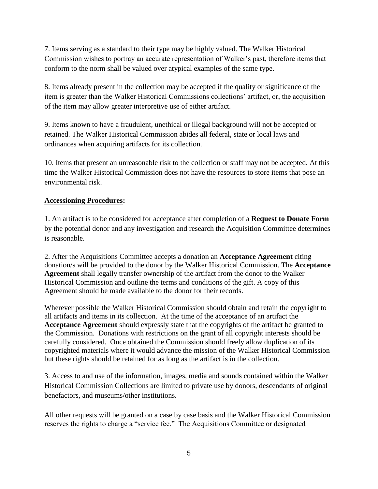7. Items serving as a standard to their type may be highly valued. The Walker Historical Commission wishes to portray an accurate representation of Walker's past, therefore items that conform to the norm shall be valued over atypical examples of the same type.

8. Items already present in the collection may be accepted if the quality or significance of the item is greater than the Walker Historical Commissions collections' artifact, or, the acquisition of the item may allow greater interpretive use of either artifact.

9. Items known to have a fraudulent, unethical or illegal background will not be accepted or retained. The Walker Historical Commission abides all federal, state or local laws and ordinances when acquiring artifacts for its collection.

10. Items that present an unreasonable risk to the collection or staff may not be accepted. At this time the Walker Historical Commission does not have the resources to store items that pose an environmental risk.

### **Accessioning Procedures:**

1. An artifact is to be considered for acceptance after completion of a **Request to Donate Form**  by the potential donor and any investigation and research the Acquisition Committee determines is reasonable.

2. After the Acquisitions Committee accepts a donation an **Acceptance Agreement** citing donation/s will be provided to the donor by the Walker Historical Commission. The **Acceptance Agreement** shall legally transfer ownership of the artifact from the donor to the Walker Historical Commission and outline the terms and conditions of the gift. A copy of this Agreement should be made available to the donor for their records.

Wherever possible the Walker Historical Commission should obtain and retain the copyright to all artifacts and items in its collection. At the time of the acceptance of an artifact the **Acceptance Agreement** should expressly state that the copyrights of the artifact be granted to the Commission. Donations with restrictions on the grant of all copyright interests should be carefully considered. Once obtained the Commission should freely allow duplication of its copyrighted materials where it would advance the mission of the Walker Historical Commission but these rights should be retained for as long as the artifact is in the collection.

3. Access to and use of the information, images, media and sounds contained within the Walker Historical Commission Collections are limited to private use by donors, descendants of original benefactors, and museums/other institutions.

All other requests will be granted on a case by case basis and the Walker Historical Commission reserves the rights to charge a "service fee." The Acquisitions Committee or designated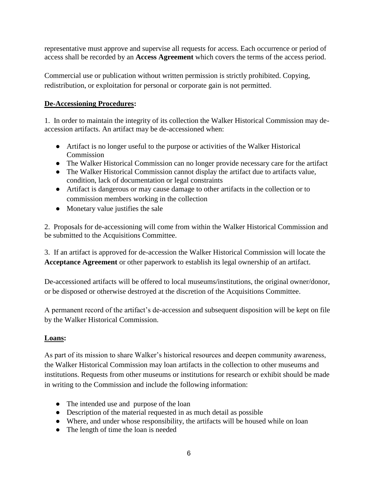representative must approve and supervise all requests for access. Each occurrence or period of access shall be recorded by an **Access Agreement** which covers the terms of the access period.

Commercial use or publication without written permission is strictly prohibited. Copying, redistribution, or exploitation for personal or corporate gain is not permitted.

# **De-Accessioning Procedures:**

1. In order to maintain the integrity of its collection the Walker Historical Commission may deaccession artifacts. An artifact may be de-accessioned when:

- Artifact is no longer useful to the purpose or activities of the Walker Historical Commission
- The Walker Historical Commission can no longer provide necessary care for the artifact
- The Walker Historical Commission cannot display the artifact due to artifacts value, condition, lack of documentation or legal constraints
- Artifact is dangerous or may cause damage to other artifacts in the collection or to commission members working in the collection
- Monetary value justifies the sale

2. Proposals for de-accessioning will come from within the Walker Historical Commission and be submitted to the Acquisitions Committee.

3. If an artifact is approved for de-accession the Walker Historical Commission will locate the **Acceptance Agreement** or other paperwork to establish its legal ownership of an artifact.

De-accessioned artifacts will be offered to local museums/institutions, the original owner/donor, or be disposed or otherwise destroyed at the discretion of the Acquisitions Committee.

A permanent record of the artifact's de-accession and subsequent disposition will be kept on file by the Walker Historical Commission.

# **Loans:**

As part of its mission to share Walker's historical resources and deepen community awareness, the Walker Historical Commission may loan artifacts in the collection to other museums and institutions. Requests from other museums or institutions for research or exhibit should be made in writing to the Commission and include the following information:

- The intended use and purpose of the loan
- Description of the material requested in as much detail as possible
- Where, and under whose responsibility, the artifacts will be housed while on loan
- The length of time the loan is needed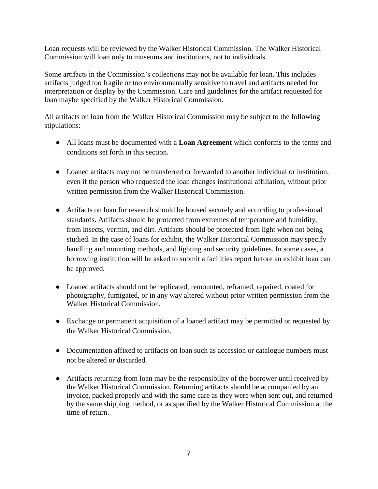Loan requests will be reviewed by the Walker Historical Commission. The Walker Historical Commission will loan only to museums and institutions, not to individuals.

Some artifacts in the Commission's collections may not be available for loan. This includes artifacts judged too fragile or too environmentally sensitive to travel and artifacts needed for interpretation or display by the Commission. Care and guidelines for the artifact requested for loan maybe specified by the Walker Historical Commission.

All artifacts on loan from the Walker Historical Commission may be subject to the following stipulations:

- All loans must be documented with a **Loan Agreement** which conforms to the terms and conditions set forth in this section.
- Loaned artifacts may not be transferred or forwarded to another individual or institution, even if the person who requested the loan changes institutional affiliation, without prior written permission from the Walker Historical Commission.
- Artifacts on loan for research should be housed securely and according to professional standards. Artifacts should be protected from extremes of temperature and humidity, from insects, vermin, and dirt. Artifacts should be protected from light when not being studied. In the case of loans for exhibit, the Walker Historical Commission may specify handling and mounting methods, and lighting and security guidelines. In some cases, a borrowing institution will be asked to submit a facilities report before an exhibit loan can be approved.
- Loaned artifacts should not be replicated, remounted, reframed, repaired, coated for photography, fumigated, or in any way altered without prior written permission from the Walker Historical Commission.
- Exchange or permanent acquisition of a loaned artifact may be permitted or requested by the Walker Historical Commission.
- Documentation affixed to artifacts on loan such as accession or catalogue numbers must not be altered or discarded.
- Artifacts returning from loan may be the responsibility of the borrower until received by the Walker Historical Commission. Returning artifacts should be accompanied by an invoice, packed properly and with the same care as they were when sent out, and returned by the same shipping method, or as specified by the Walker Historical Commission at the time of return.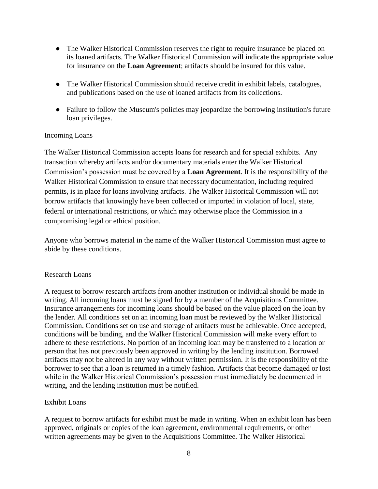- The Walker Historical Commission reserves the right to require insurance be placed on its loaned artifacts. The Walker Historical Commission will indicate the appropriate value for insurance on the **Loan Agreement**; artifacts should be insured for this value.
- The Walker Historical Commission should receive credit in exhibit labels, catalogues, and publications based on the use of loaned artifacts from its collections.
- Failure to follow the Museum's policies may jeopardize the borrowing institution's future loan privileges.

### Incoming Loans

The Walker Historical Commission accepts loans for research and for special exhibits. Any transaction whereby artifacts and/or documentary materials enter the Walker Historical Commission's possession must be covered by a **Loan Agreement**. It is the responsibility of the Walker Historical Commission to ensure that necessary documentation, including required permits, is in place for loans involving artifacts. The Walker Historical Commission will not borrow artifacts that knowingly have been collected or imported in violation of local, state, federal or international restrictions, or which may otherwise place the Commission in a compromising legal or ethical position.

Anyone who borrows material in the name of the Walker Historical Commission must agree to abide by these conditions.

### Research Loans

A request to borrow research artifacts from another institution or individual should be made in writing. All incoming loans must be signed for by a member of the Acquisitions Committee. Insurance arrangements for incoming loans should be based on the value placed on the loan by the lender. All conditions set on an incoming loan must be reviewed by the Walker Historical Commission. Conditions set on use and storage of artifacts must be achievable. Once accepted, conditions will be binding, and the Walker Historical Commission will make every effort to adhere to these restrictions. No portion of an incoming loan may be transferred to a location or person that has not previously been approved in writing by the lending institution. Borrowed artifacts may not be altered in any way without written permission. It is the responsibility of the borrower to see that a loan is returned in a timely fashion. Artifacts that become damaged or lost while in the Walker Historical Commission's possession must immediately be documented in writing, and the lending institution must be notified.

### Exhibit Loans

A request to borrow artifacts for exhibit must be made in writing. When an exhibit loan has been approved, originals or copies of the loan agreement, environmental requirements, or other written agreements may be given to the Acquisitions Committee. The Walker Historical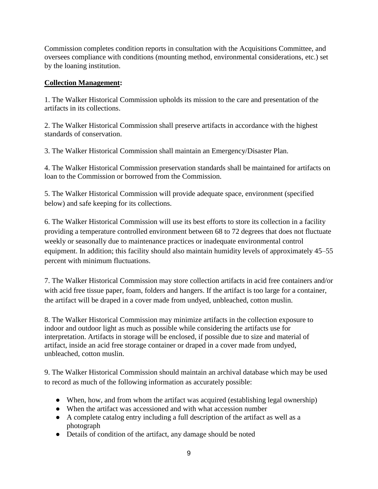Commission completes condition reports in consultation with the Acquisitions Committee, and oversees compliance with conditions (mounting method, environmental considerations, etc.) set by the loaning institution.

### **Collection Management:**

1. The Walker Historical Commission upholds its mission to the care and presentation of the artifacts in its collections.

2. The Walker Historical Commission shall preserve artifacts in accordance with the highest standards of conservation.

3. The Walker Historical Commission shall maintain an Emergency/Disaster Plan.

4. The Walker Historical Commission preservation standards shall be maintained for artifacts on loan to the Commission or borrowed from the Commission.

5. The Walker Historical Commission will provide adequate space, environment (specified below) and safe keeping for its collections.

6. The Walker Historical Commission will use its best efforts to store its collection in a facility providing a temperature controlled environment between 68 to 72 degrees that does not fluctuate weekly or seasonally due to maintenance practices or inadequate environmental control equipment. In addition; this facility should also maintain humidity levels of approximately 45–55 percent with minimum fluctuations.

7. The Walker Historical Commission may store collection artifacts in acid free containers and/or with acid free tissue paper, foam, folders and hangers. If the artifact is too large for a container, the artifact will be draped in a cover made from undyed, unbleached, cotton muslin.

8. The Walker Historical Commission may minimize artifacts in the collection exposure to indoor and outdoor light as much as possible while considering the artifacts use for interpretation. Artifacts in storage will be enclosed, if possible due to size and material of artifact, inside an acid free storage container or draped in a cover made from undyed, unbleached, cotton muslin.

9. The Walker Historical Commission should maintain an archival database which may be used to record as much of the following information as accurately possible:

- When, how, and from whom the artifact was acquired (establishing legal ownership)
- When the artifact was accessioned and with what accession number
- A complete catalog entry including a full description of the artifact as well as a photograph
- Details of condition of the artifact, any damage should be noted